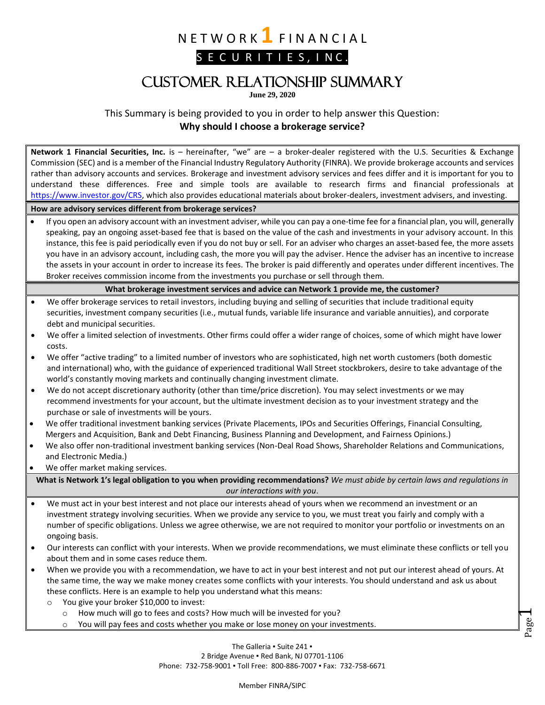N E T W O R K **1** F I N A N C I A L

S E C U R I T I E S, I N C.

# Customer Relationship Summary

**June 29, 2020**

This Summary is being provided to you in order to help answer this Question: **Why should I choose a brokerage service?**

 $\overline{\phantom{a}}$ **Network 1 Financial Securities, Inc.** is – hereinafter, "we" are – a broker‐dealer registered with the U.S. Securities & Exchange Commission (SEC) and is a member of the Financial Industry Regulatory Authority (FINRA). We provide brokerage accounts and services rather than advisory accounts and services. Brokerage and investment advisory services and fees differ and it is important for you to understand these differences. Free and simple tools are available to research firms and financial professionals at [https://www.investor.gov/CRS,](https://www.investor.gov/CRS) which also provides educational materials about broker-dealers, investment advisers, and investing. **How are advisory services different from brokerage services?** • If you open an advisory account with an investment adviser, while you can pay a one-time fee for a financial plan, you will, generally speaking, pay an ongoing asset‐based fee that is based on the value of the cash and investments in your advisory account. In this instance, this fee is paid periodically even if you do not buy or sell. For an adviser who charges an asset-based fee, the more assets you have in an advisory account, including cash, the more you will pay the adviser. Hence the adviser has an incentive to increase the assets in your account in order to increase its fees. The broker is paid differently and operates under different incentives. The Broker receives commission income from the investments you purchase or sell through them. **What brokerage investment services and advice can Network 1 provide me, the customer?** • We offer brokerage services to retail investors, including buying and selling of securities that include traditional equity securities, investment company securities (i.e., mutual funds, variable life insurance and variable annuities), and corporate debt and municipal securities. • We offer a limited selection of investments. Other firms could offer a wider range of choices, some of which might have lower costs. • We offer "active trading" to a limited number of investors who are sophisticated, high net worth customers (both domestic and international) who, with the guidance of experienced traditional Wall Street stockbrokers, desire to take advantage of the world's constantly moving markets and continually changing investment climate. • We do not accept discretionary authority (other than time/price discretion). You may select investments or we may recommend investments for your account, but the ultimate investment decision as to your investment strategy and the purchase or sale of investments will be yours. • We offer traditional investment banking services (Private Placements, IPOs and Securities Offerings, Financial Consulting, Mergers and Acquisition, Bank and Debt Financing, Business Planning and Development, and Fairness Opinions.) • We also offer non-traditional investment banking services (Non-Deal Road Shows, Shareholder Relations and Communications, and Electronic Media.) We offer market making services. **What is Network 1's legal obligation to you when providing recommendations?** *We must abide by certain laws and regulations in our interactions with you*. • We must act in your best interest and not place our interests ahead of yours when we recommend an investment or an investment strategy involving securities. When we provide any service to you, we must treat you fairly and comply with a number of specific obligations. Unless we agree otherwise, we are not required to monitor your portfolio or investments on an ongoing basis. • Our interests can conflict with your interests. When we provide recommendations, we must eliminate these conflicts or tell you about them and in some cases reduce them. • When we provide you with a recommendation, we have to act in your best interest and not put our interest ahead of yours. At the same time, the way we make money creates some conflicts with your interests. You should understand and ask us about these conflicts. Here is an example to help you understand what this means: o You give your broker \$10,000 to invest: o How much will go to fees and costs? How much will be invested for you? o You will pay fees and costs whether you make or lose money on your investments.

> The Galleria . Suite 241 . 2 Bridge Avenue ▪ Red Bank, NJ 07701-1106 Phone: 732-758-9001 ▪ Toll Free: 800-886-7007 ▪ Fax: 732-758-6671

Page

Member FINRA/SIPC